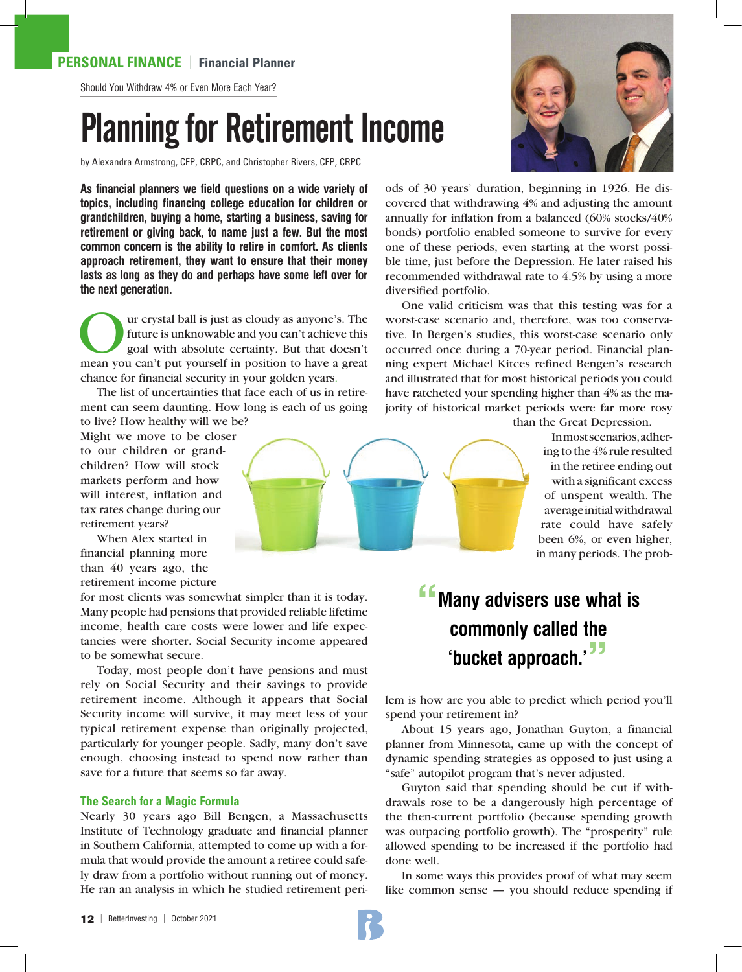### **PERSONAL FINANCE** | **Financial Planner**

Should You Withdraw 4% or Even More Each Year?

# Planning for Retirement Income

by Alexandra Armstrong, CFP, CRPC, and Christopher Rivers, CFP, CRPC

**As financial planners we field questions on a wide variety of topics, including financing college education for children or grandchildren, buying a home, starting a business, saving for retirement or giving back, to name just a few. But the most common concern is the ability to retire in comfort. As clients approach retirement, they want to ensure that their money lasts as long as they do and perhaps have some left over for the next generation.**

Our crystal ball is just as cloudy as anyone's. The future is unknowable and you can't achieve this goal with absolute certainty. But that doesn't mean you can't put yourself in position to have a great future is unknowable and you can't achieve this goal with absolute certainty. But that doesn't chance for financial security in your golden years.

The list of uncertainties that face each of us in retirement can seem daunting. How long is each of us going to live? How healthy will we be?

Might we move to be closer to our children or grandchildren? How will stock markets perform and how will interest, inflation and tax rates change during our retirement years?

When Alex started in financial planning more than 40 years ago, the retirement income picture

for most clients was somewhat simpler than it is today. Many people had pensions that provided reliable lifetime income, health care costs were lower and life expectancies were shorter. Social Security income appeared to be somewhat secure.

Today, most people don't have pensions and must rely on Social Security and their savings to provide retirement income. Although it appears that Social Security income will survive, it may meet less of your typical retirement expense than originally projected, particularly for younger people. Sadly, many don't save enough, choosing instead to spend now rather than save for a future that seems so far away.

### **The Search for a Magic Formula**

Nearly 30 years ago Bill Bengen, a Massachusetts Institute of Technology graduate and financial planner in Southern California, attempted to come up with a formula that would provide the amount a retiree could safely draw from a portfolio without running out of money. He ran an analysis in which he studied retirement peri-



ods of 30 years' duration, beginning in 1926. He discovered that withdrawing 4% and adjusting the amount annually for inflation from a balanced (60% stocks/40% bonds) portfolio enabled someone to survive for every one of these periods, even starting at the worst possible time, just before the Depression. He later raised his recommended withdrawal rate to 4.5% by using a more diversified portfolio.

One valid criticism was that this testing was for a worst-case scenario and, therefore, was too conservative. In Bergen's studies, this worst-case scenario only occurred once during a 70-year period. Financial planning expert Michael Kitces refined Bengen's research and illustrated that for most historical periods you could have ratcheted your spending higher than 4% as the majority of historical market periods were far more rosy

than the Great Depression.

In most scenarios, adhering to the 4% rule resulted in the retiree ending out with a significant excess of unspent wealth. The average initial withdrawal rate could have safely been 6%, or even higher, in many periods. The prob-

## **"Many advisers use what is commonly called the 'bucket approach.'"**

lem is how are you able to predict which period you'll spend your retirement in?

About 15 years ago, Jonathan Guyton, a financial planner from Minnesota, came up with the concept of dynamic spending strategies as opposed to just using a "safe" autopilot program that's never adjusted.

Guyton said that spending should be cut if withdrawals rose to be a dangerously high percentage of the then-current portfolio (because spending growth was outpacing portfolio growth). The "prosperity" rule allowed spending to be increased if the portfolio had done well.

In some ways this provides proof of what may seem like common sense — you should reduce spending if